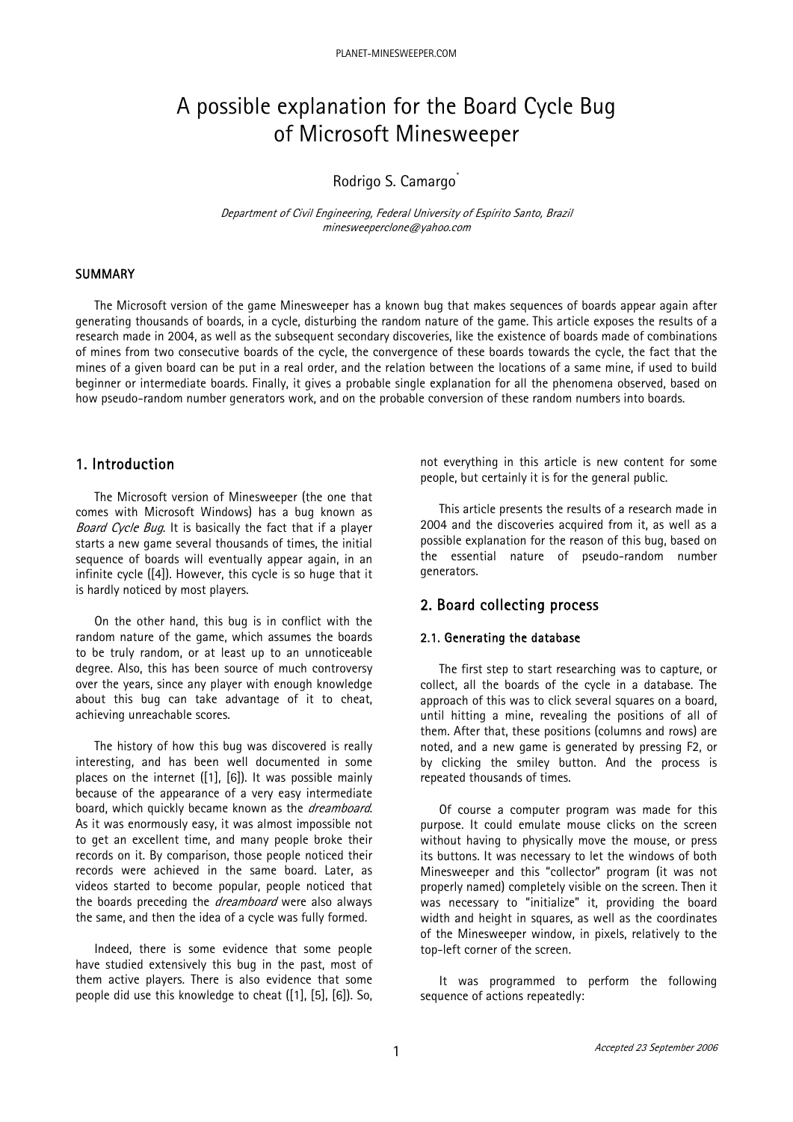# A possible explanation for the Board Cycle Bug of Microsoft Minesweeper

# Rodrigo S. Camargo<sup>[\\*](#page-9-0)</sup>

Department of Civil Engineering, Federal University of Espírito Santo, Brazil minesweeperclone@yahoo.com

# SUMMARY

The Microsoft version of the game Minesweeper has a known bug that makes sequences of boards appear again after generating thousands of boards, in a cycle, disturbing the random nature of the game. This article exposes the results of a research made in 2004, as well as the subsequent secondary discoveries, like the existence of boards made of combinations of mines from two consecutive boards of the cycle, the convergence of these boards towards the cycle, the fact that the mines of a given board can be put in a real order, and the relation between the locations of a same mine, if used to build beginner or intermediate boards. Finally, it gives a probable single explanation for all the phenomena observed, based on how pseudo-random number generators work, and on the probable conversion of these random numbers into boards.

# 1. Introduction

The Microsoft version of Minesweeper (the one that comes with Microsoft Windows) has a bug known as Board Cycle Bug. It is basically the fact that if a player starts a new game several thousands of times, the initial sequence of boards will eventually appear again, in an infinite cycle ([4]). However, this cycle is so huge that it is hardly noticed by most players.

On the other hand, this bug is in conflict with the random nature of the game, which assumes the boards to be truly random, or at least up to an unnoticeable degree. Also, this has been source of much controversy over the years, since any player with enough knowledge about this bug can take advantage of it to cheat, achieving unreachable scores.

The history of how this bug was discovered is really interesting, and has been well documented in some places on the internet ([1], [6]). It was possible mainly because of the appearance of a very easy intermediate board, which quickly became known as the *dreamboard*. As it was enormously easy, it was almost impossible not to get an excellent time, and many people broke their records on it. By comparison, those people noticed their records were achieved in the same board. Later, as videos started to become popular, people noticed that the boards preceding the *dreamboard* were also always the same, and then the idea of a cycle was fully formed.

Indeed, there is some evidence that some people have studied extensively this bug in the past, most of them active players. There is also evidence that some people did use this knowledge to cheat ([1], [5], [6]). So, not everything in this article is new content for some people, but certainly it is for the general public.

This article presents the results of a research made in 2004 and the discoveries acquired from it, as well as a possible explanation for the reason of this bug, based on the essential nature of pseudo-random number generators.

# 2. Board collecting process

## 2.1. Generating the database

The first step to start researching was to capture, or collect, all the boards of the cycle in a database. The approach of this was to click several squares on a board. until hitting a mine, revealing the positions of all of them. After that, these positions (columns and rows) are noted, and a new game is generated by pressing F2, or by clicking the smiley button. And the process is repeated thousands of times.

Of course a computer program was made for this purpose. It could emulate mouse clicks on the screen without having to physically move the mouse, or press its buttons. It was necessary to let the windows of both Minesweeper and this "collector" program (it was not properly named) completely visible on the screen. Then it was necessary to "initialize" it, providing the board width and height in squares, as well as the coordinates of the Minesweeper window, in pixels, relatively to the top-left corner of the screen.

It was programmed to perform the following sequence of actions repeatedly: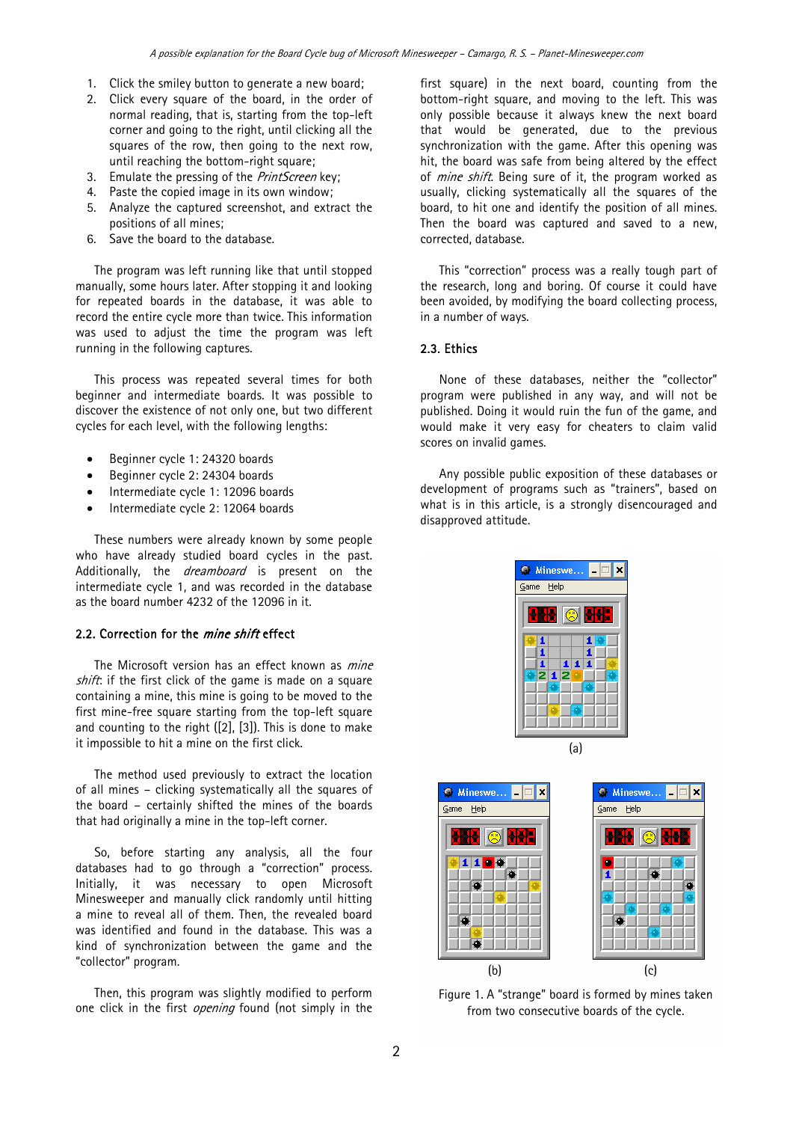- 1. Click the smiley button to generate a new board;
- 2. Click every square of the board, in the order of normal reading, that is, starting from the top-left corner and going to the right, until clicking all the squares of the row, then going to the next row, until reaching the bottom-right square;
- 3. Emulate the pressing of the *PrintScreen* key:
- 4. Paste the copied image in its own window;
- 5. Analyze the captured screenshot, and extract the positions of all mines;
- 6. Save the board to the database.

The program was left running like that until stopped manually, some hours later. After stopping it and looking for repeated boards in the database, it was able to record the entire cycle more than twice. This information was used to adjust the time the program was left running in the following captures.

This process was repeated several times for both beginner and intermediate boards. It was possible to discover the existence of not only one, but two different cycles for each level, with the following lengths:

- Beginner cycle 1: 24320 boards
- Beginner cycle 2: 24304 boards
- Intermediate cycle 1: 12096 boards
- Intermediate cycle 2: 12064 boards

These numbers were already known by some people who have already studied board cycles in the past. Additionally, the *dreamboard* is present on the intermediate cycle 1, and was recorded in the database as the board number 4232 of the 12096 in it.

## 2.2. Correction for the *mine shift* effect

The Microsoft version has an effect known as *mine* shift: if the first click of the game is made on a square containing a mine, this mine is going to be moved to the first mine-free square starting from the top-left square and counting to the right  $([2]$ ,  $[3]$ ). This is done to make it impossible to hit a mine on the first click.

The method used previously to extract the location of all mines – clicking systematically all the squares of the board – certainly shifted the mines of the boards that had originally a mine in the top-left corner.

So, before starting any analysis, all the four databases had to go through a "correction" process. Initially, it was necessary to open Microsoft Minesweeper and manually click randomly until hitting a mine to reveal all of them. Then, the revealed board was identified and found in the database. This was a kind of synchronization between the game and the "collector" program.

Then, this program was slightly modified to perform one click in the first *opening* found (not simply in the first square) in the next board, counting from the bottom-right square, and moving to the left. This was only possible because it always knew the next board that would be generated, due to the previous synchronization with the game. After this opening was hit, the board was safe from being altered by the effect of *mine shift*. Being sure of it, the program worked as usually, clicking systematically all the squares of the board, to hit one and identify the position of all mines. Then the board was captured and saved to a new, corrected, database.

This "correction" process was a really tough part of the research, long and boring. Of course it could have been avoided, by modifying the board collecting process, in a number of ways.

# 2.3. Ethics

None of these databases, neither the "collector" program were published in any way, and will not be published. Doing it would ruin the fun of the game, and would make it very easy for cheaters to claim valid scores on invalid games.

Any possible public exposition of these databases or development of programs such as "trainers", based on what is in this article, is a strongly disencouraged and disapproved attitude.





Figure 1. A "strange" board is formed by mines taken from two consecutive boards of the cycle.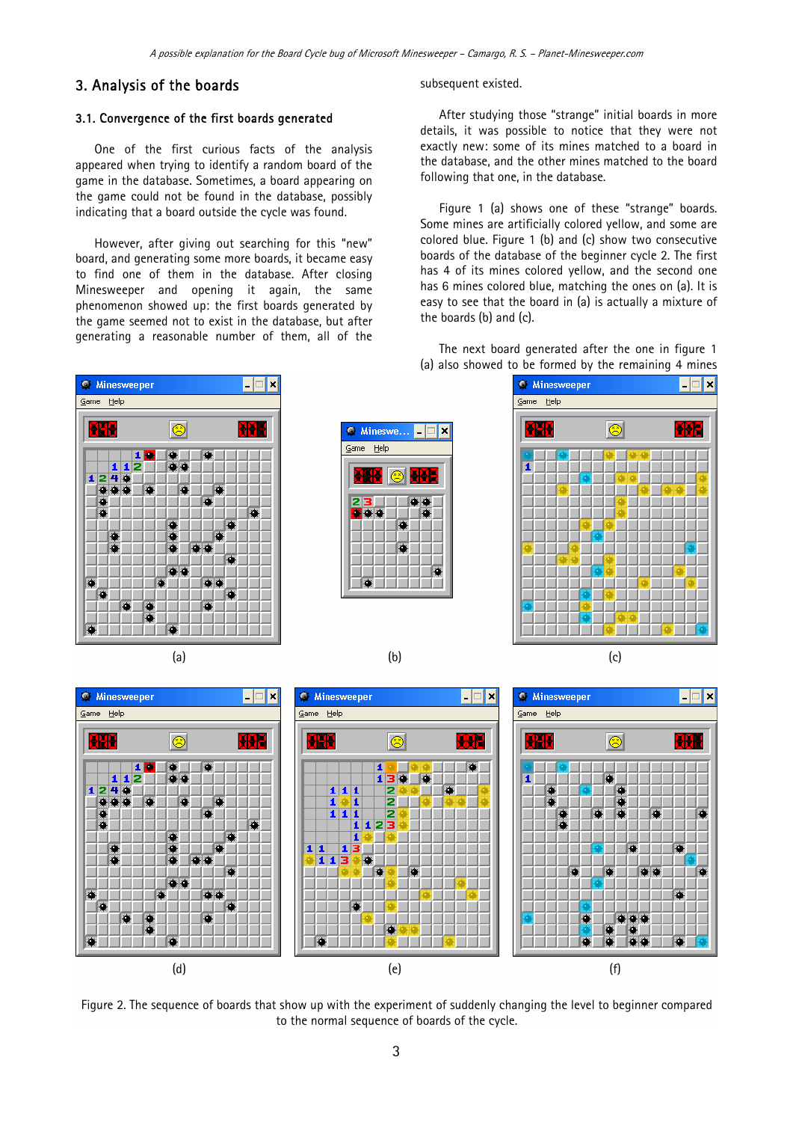# 3. Analysis of the boards

#### 3.1. Convergence of the first boards generated

One of the first curious facts of the analysis appeared when trying to identify a random board of the game in the database. Sometimes, a board appearing on the game could not be found in the database, possibly indicating that a board outside the cycle was found.

However, after giving out searching for this "new" board, and generating some more boards, it became easy to find one of them in the database. After closing Minesweeper and opening it again, the same phenomenon showed up: the first boards generated by the game seemed not to exist in the database, but after generating a reasonable number of them, all of the

subsequent existed.

After studying those "strange" initial boards in more details, it was possible to notice that they were not exactly new: some of its mines matched to a board in the database, and the other mines matched to the board following that one, in the database.

Figure 1 (a) shows one of these "strange" boards. Some mines are artificially colored yellow, and some are colored blue. Figure 1 (b) and (c) show two consecutive boards of the database of the beginner cycle 2. The first has 4 of its mines colored yellow, and the second one has 6 mines colored blue, matching the ones on (a). It is easy to see that the board in (a) is actually a mixture of the boards (b) and (c).

The next board generated after the one in figure 1 (a) also showed to be formed by the remaining 4 mines











Figure 2. The sequence of boards that show up with the experiment of suddenly changing the level to beginner compared to the normal sequence of boards of the cycle.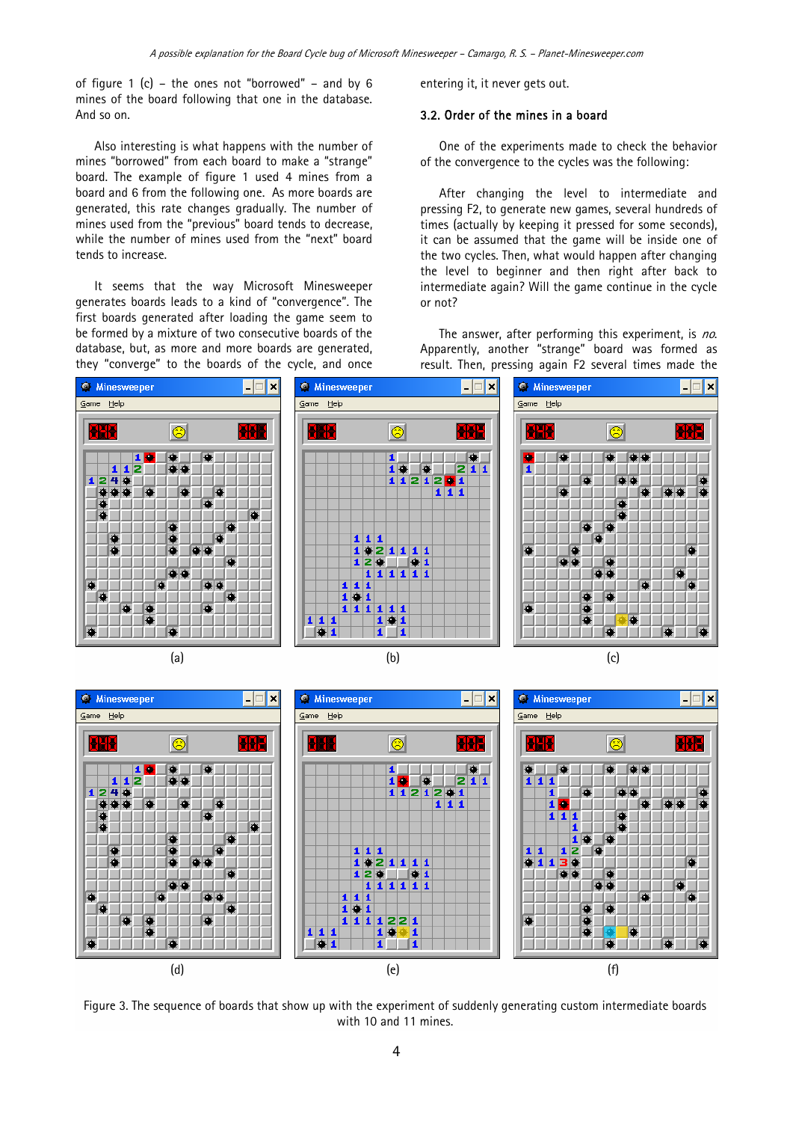of figure 1 (c) – the ones not "borrowed" – and by 6 mines of the board following that one in the database. And so on.

Also interesting is what happens with the number of mines "borrowed" from each board to make a "strange" board. The example of figure 1 used 4 mines from a board and 6 from the following one. As more boards are generated, this rate changes gradually. The number of mines used from the "previous" board tends to decrease, while the number of mines used from the "next" board tends to increase.

It seems that the way Microsoft Minesweeper generates boards leads to a kind of "convergence". The first boards generated after loading the game seem to be formed by a mixture of two consecutive boards of the database, but, as more and more boards are generated, they "converge" to the boards of the cycle, and once

entering it, it never gets out.

#### 3.2. Order of the mines in a board

One of the experiments made to check the behavior of the convergence to the cycles was the following:

After changing the level to intermediate and pressing F2, to generate new games, several hundreds of times (actually by keeping it pressed for some seconds), it can be assumed that the game will be inside one of the two cycles. Then, what would happen after changing the level to beginner and then right after back to intermediate again? Will the game continue in the cycle or not?

The answer, after performing this experiment, is no. Apparently, another "strange" board was formed as result. Then, pressing again F2 several times made the





Figure 3. The sequence of boards that show up with the experiment of suddenly generating custom intermediate boards with 10 and 11 mines.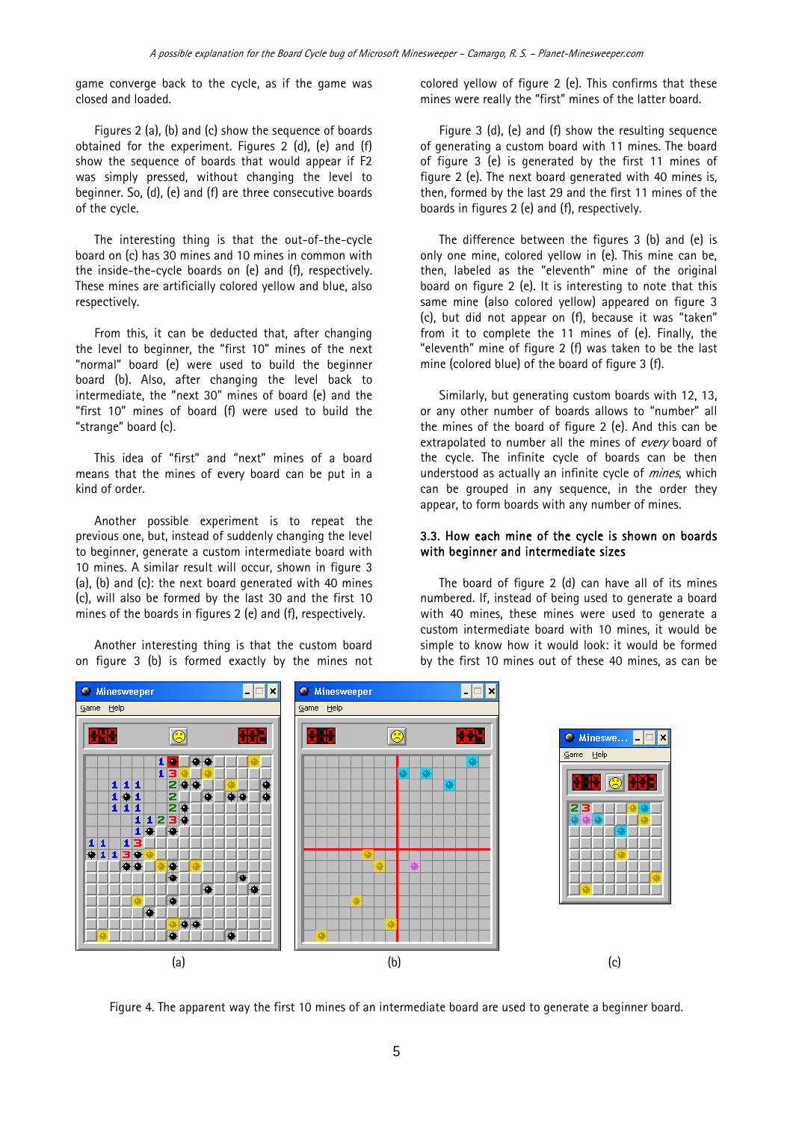game converge back to the cycle, as if the game was closed and loaded.

Figures 2 (a), (b) and (c) show the sequence of boards obtained for the experiment. Figures 2 (d), (e) and (f) show the sequence of boards that would appear if F2 was simply pressed, without changing the level to beginner. So, (d), (e) and (f) are three consecutive boards of the cycle.

The interesting thing is that the out-of-the-cycle board on (c) has 30 mines and 10 mines in common with the inside-the-cycle boards on (e) and (f), respectively. These mines are artificially colored yellow and blue, also respectively.

From this, it can be deducted that, after changing the level to beginner, the "first 10" mines of the next "normal" board (e) were used to build the beginner board (b). Also, after changing the level back to intermediate, the "next 30" mines of board (e) and the "first 10" mines of board (f) were used to build the "strange" board (c).

This idea of "first" and "next" mines of a board means that the mines of every board can be put in a kind of order.

Another possible experiment is to repeat the previous one, but, instead of suddenly changing the level to beginner, generate a custom intermediate board with 10 mines. A similar result will occur, shown in figure 3 (a), (b) and (c): the next board generated with 40 mines (c), will also be formed by the last 30 and the first 10 mines of the boards in figures 2 (e) and (f), respectively.

Another interesting thing is that the custom board on figure 3 (b) is formed exactly by the mines not colored yellow of figure 2 (e). This confirms that these mines were really the "first" mines of the latter board.

Figure 3 (d), (e) and (f) show the resulting sequence of generating a custom board with 11 mines. The board of figure 3 (e) is generated by the first 11 mines of figure 2 (e). The next board generated with 40 mines is, then, formed by the last 29 and the first 11 mines of the boards in figures 2 (e) and (f), respectively.

The difference between the figures 3 (b) and (e) is only one mine, colored yellow in (e). This mine can be, then, labeled as the "eleventh" mine of the original board on figure 2 (e). It is interesting to note that this same mine (also colored yellow) appeared on figure 3 (c), but did not appear on (f), because it was "taken" from it to complete the 11 mines of (e). Finally, the "eleventh" mine of figure 2 (f) was taken to be the last mine (colored blue) of the board of figure 3 (f).

Similarly, but generating custom boards with 12, 13, or any other number of boards allows to "number" all the mines of the board of figure 2 (e). And this can be extrapolated to number all the mines of every board of the cycle. The infinite cycle of boards can be then understood as actually an infinite cycle of *mines*, which can be grouped in any sequence, in the order they appear, to form boards with any number of mines.

## 3.3. How each mine of the cycle is shown on boards with beginner and intermediate sizes

The board of figure 2 (d) can have all of its mines numbered. If, instead of being used to generate a board with 40 mines, these mines were used to generate a custom intermediate board with 10 mines, it would be simple to know how it would look: it would be formed by the first 10 mines out of these 40 mines, as can be



Figure 4. The apparent way the first 10 mines of an intermediate board are used to generate a beginner board.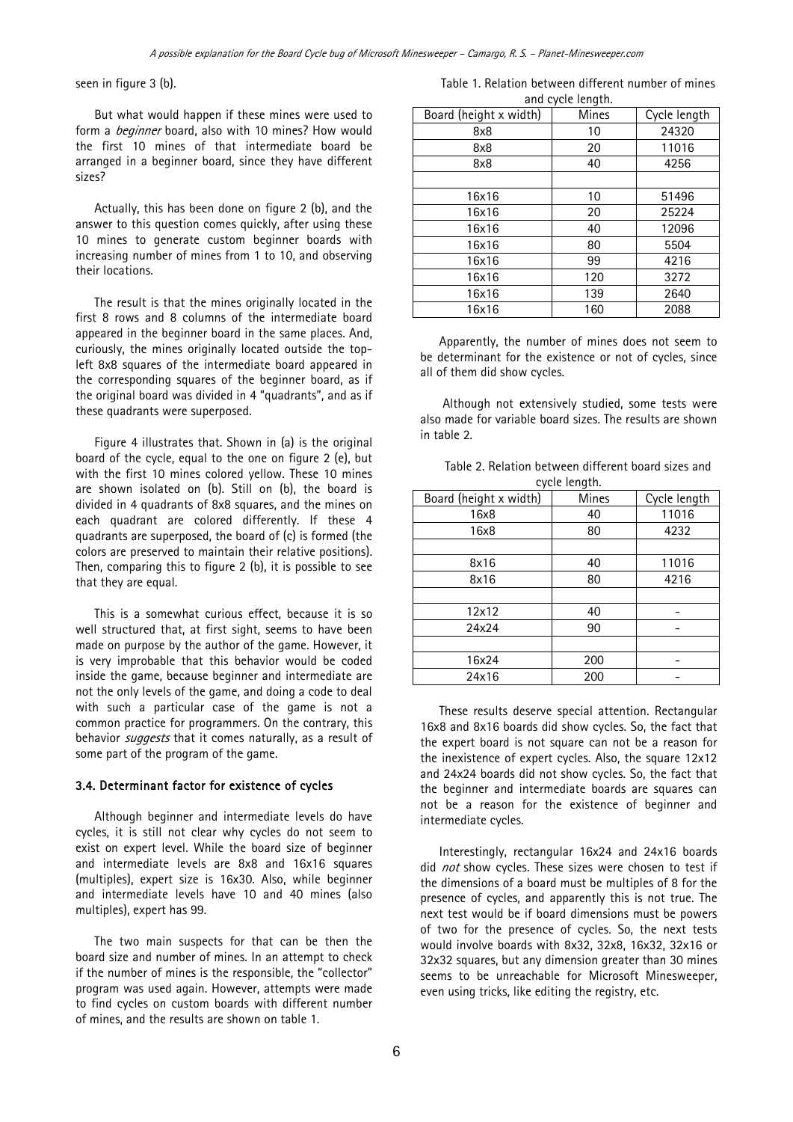seen in figure 3 (b).

But what would happen if these mines were used to form a *beginner* board, also with 10 mines? How would the first 10 mines of that intermediate board be arranged in a beginner board, since they have different sizes?

Actually, this has been done on figure 2 (b), and the answer to this question comes quickly, after using these 10 mines to generate custom beginner boards with increasing number of mines from 1 to 10, and observing their locations.

The result is that the mines originally located in the first 8 rows and 8 columns of the intermediate board appeared in the beginner board in the same places. And, curiously, the mines originally located outside the topleft 8x8 squares of the intermediate board appeared in the corresponding squares of the beginner board, as if the original board was divided in 4 "quadrants", and as if these quadrants were superposed.

Figure 4 illustrates that. Shown in (a) is the original board of the cycle, equal to the one on figure 2 (e), but with the first 10 mines colored yellow. These 10 mines are shown isolated on (b). Still on (b), the board is divided in 4 quadrants of 8x8 squares, and the mines on each quadrant are colored differently. If these 4 quadrants are superposed, the board of (c) is formed (the colors are preserved to maintain their relative positions). Then, comparing this to figure 2 (b), it is possible to see that they are equal.

This is a somewhat curious effect, because it is so well structured that, at first sight, seems to have been made on purpose by the author of the game. However, it is very improbable that this behavior would be coded inside the game, because beginner and intermediate are not the only levels of the game, and doing a code to deal with such a particular case of the game is not a common practice for programmers. On the contrary, this behavior *suggests* that it comes naturally, as a result of some part of the program of the game.

#### 3.4. Determinant factor for existence of cycles

Although beginner and intermediate levels do have cycles, it is still not clear why cycles do not seem to exist on expert level. While the board size of beginner and intermediate levels are 8x8 and 16x16 squares (multiples), expert size is 16x30. Also, while beginner and intermediate levels have 10 and 40 mines (also multiples), expert has 99.

The two main suspects for that can be then the board size and number of mines. In an attempt to check if the number of mines is the responsible, the "collector" program was used again. However, attempts were made to find cycles on custom boards with different number of mines, and the results are shown on table 1.

Table 1. Relation between different number of mines and cycle length.

| Board (height x width) | <b>Mines</b> | Cycle length |  |
|------------------------|--------------|--------------|--|
| 8x8                    | 10           | 24320        |  |
| 8x8                    | 20           | 11016        |  |
| 8x8                    | 40           | 4256         |  |
|                        |              |              |  |
| 16x16                  | 10           | 51496        |  |
| 16x16                  | 20           | 25224        |  |
| 16x16                  | 40           | 12096        |  |
| 16x16                  | 80           | 5504         |  |
| 16x16                  | 99           | 4216         |  |
| 16x16                  | 120          | 3272         |  |
| 16x16                  | 139          | 2640         |  |
| 16x16                  | 160          | 2088         |  |

Apparently, the number of mines does not seem to be determinant for the existence or not of cycles, since all of them did show cycles.

 Although not extensively studied, some tests were also made for variable board sizes. The results are shown in table 2.

| Table 2. Relation between different board sizes and |               |  |  |
|-----------------------------------------------------|---------------|--|--|
|                                                     | cycle length. |  |  |

| Board (height x width) | <b>Mines</b> | Cycle length |  |
|------------------------|--------------|--------------|--|
| 16x8                   | 40           | 11016        |  |
| 16x8                   | 80           | 4232         |  |
|                        |              |              |  |
| 8x16                   | 40           | 11016        |  |
| 8x16                   | 80           | 4216         |  |
|                        |              |              |  |
| 12x12                  | 40           |              |  |
| 24x24                  | 90           |              |  |
|                        |              |              |  |
| 16x24                  | 200          |              |  |
| 24x16                  | 200          |              |  |

These results deserve special attention. Rectangular 16x8 and 8x16 boards did show cycles. So, the fact that the expert board is not square can not be a reason for the inexistence of expert cycles. Also, the square 12x12 and 24x24 boards did not show cycles. So, the fact that the beginner and intermediate boards are squares can not be a reason for the existence of beginner and intermediate cycles.

Interestingly, rectangular 16x24 and 24x16 boards did not show cycles. These sizes were chosen to test if the dimensions of a board must be multiples of 8 for the presence of cycles, and apparently this is not true. The next test would be if board dimensions must be powers of two for the presence of cycles. So, the next tests would involve boards with 8x32, 32x8, 16x32, 32x16 or 32x32 squares, but any dimension greater than 30 mines seems to be unreachable for Microsoft Minesweeper, even using tricks, like editing the registry, etc.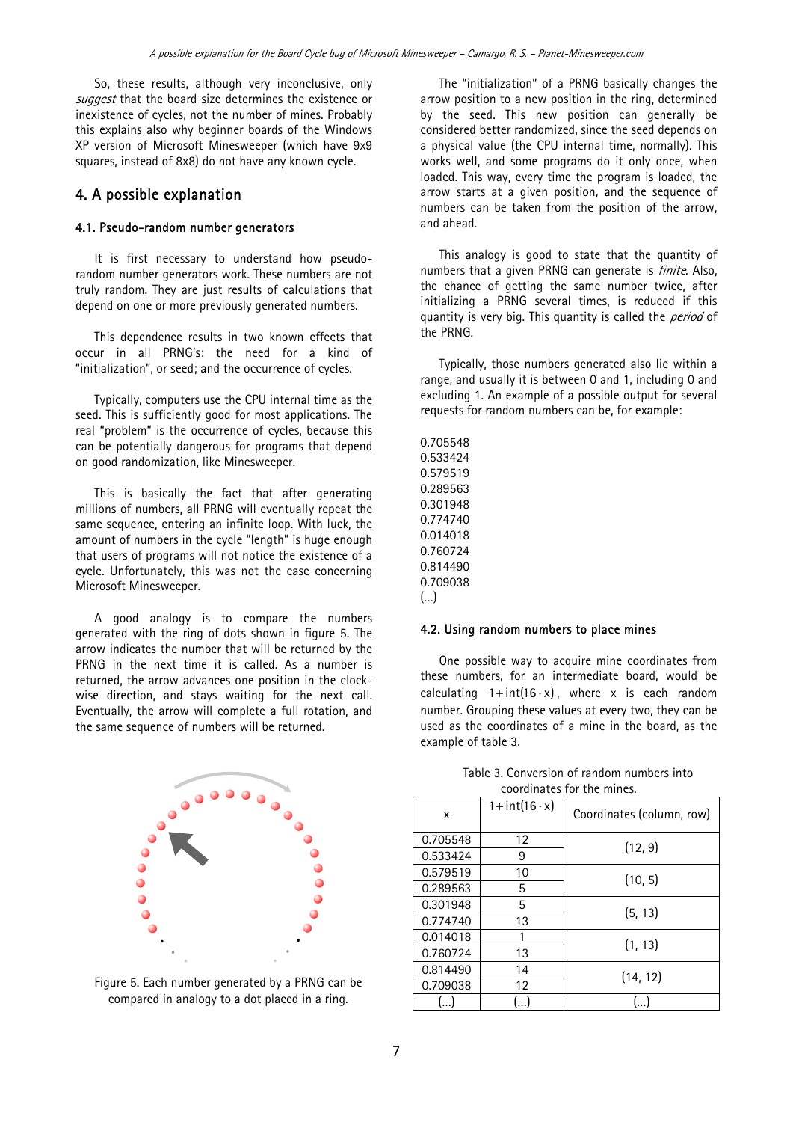So, these results, although very inconclusive, only suggest that the board size determines the existence or inexistence of cycles, not the number of mines. Probably this explains also why beginner boards of the Windows XP version of Microsoft Minesweeper (which have 9x9 squares, instead of 8x8) do not have any known cycle.

# 4. A possible explanation

## 4.1. Pseudo-random number generators

It is first necessary to understand how pseudorandom number generators work. These numbers are not truly random. They are just results of calculations that depend on one or more previously generated numbers.

This dependence results in two known effects that occur in all PRNG's: the need for a kind of "initialization", or seed; and the occurrence of cycles.

Typically, computers use the CPU internal time as the seed. This is sufficiently good for most applications. The real "problem" is the occurrence of cycles, because this can be potentially dangerous for programs that depend on good randomization, like Minesweeper.

This is basically the fact that after generating millions of numbers, all PRNG will eventually repeat the same sequence, entering an infinite loop. With luck, the amount of numbers in the cycle "length" is huge enough that users of programs will not notice the existence of a cycle. Unfortunately, this was not the case concerning Microsoft Minesweeper.

A good analogy is to compare the numbers generated with the ring of dots shown in figure 5. The arrow indicates the number that will be returned by the PRNG in the next time it is called. As a number is returned, the arrow advances one position in the clockwise direction, and stays waiting for the next call. Eventually, the arrow will complete a full rotation, and the same sequence of numbers will be returned.



Figure 5. Each number generated by a PRNG can be compared in analogy to a dot placed in a ring.

The "initialization" of a PRNG basically changes the arrow position to a new position in the ring, determined by the seed. This new position can generally be considered better randomized, since the seed depends on a physical value (the CPU internal time, normally). This works well, and some programs do it only once, when loaded. This way, every time the program is loaded, the arrow starts at a given position, and the sequence of numbers can be taken from the position of the arrow, and ahead.

This analogy is good to state that the quantity of numbers that a given PRNG can generate is *finite*. Also, the chance of getting the same number twice, after initializing a PRNG several times, is reduced if this quantity is very big. This quantity is called the *period* of the PRNG.

Typically, those numbers generated also lie within a range, and usually it is between 0 and 1, including 0 and excluding 1. An example of a possible output for several requests for random numbers can be, for example:

0.705548 0.533424 0.579519 0.289563 0.301948 0.774740 0.014018 0.760724 0.814490 0.709038 (…)

#### 4.2. Using random numbers to place mines

One possible way to acquire mine coordinates from these numbers, for an intermediate board, would be calculating  $1 + \text{int}(16 \cdot x)$ , where x is each random number. Grouping these values at every two, they can be used as the coordinates of a mine in the board, as the example of table 3.

| X        | $1+int(16 \cdot x)$ | Coordinates (column, row) |  |
|----------|---------------------|---------------------------|--|
| 0.705548 | 12                  | (12, 9)                   |  |
| 0.533424 | 9                   |                           |  |
| 0.579519 | 10                  | (10, 5)                   |  |
| 0.289563 | 5                   |                           |  |
| 0.301948 | 5                   | (5, 13)                   |  |
| 0.774740 | 13                  |                           |  |
| 0.014018 | 1                   | (1, 13)                   |  |
| 0.760724 | 13                  |                           |  |
| 0.814490 | 14                  | (14, 12)                  |  |
| 0.709038 | 12                  |                           |  |
| . 1      |                     |                           |  |

Table 3. Conversion of random numbers into coordinates for the mines.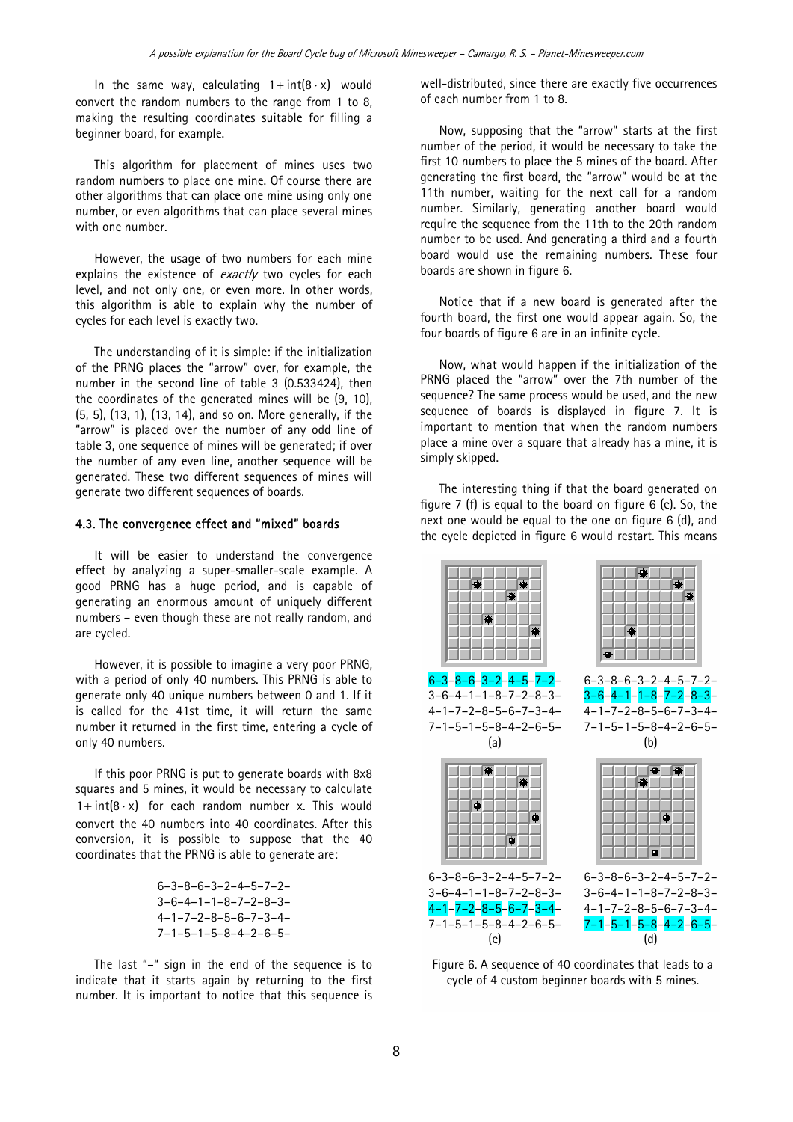In the same way, calculating  $1 + \text{int}(8 \cdot x)$  would convert the random numbers to the range from 1 to 8, making the resulting coordinates suitable for filling a beginner board, for example.

This algorithm for placement of mines uses two random numbers to place one mine. Of course there are other algorithms that can place one mine using only one number, or even algorithms that can place several mines with one number.

However, the usage of two numbers for each mine explains the existence of  $\frac{exactly}{}$  two cycles for each level, and not only one, or even more. In other words, this algorithm is able to explain why the number of cycles for each level is exactly two.

The understanding of it is simple: if the initialization of the PRNG places the "arrow" over, for example, the number in the second line of table 3 (0.533424), then the coordinates of the generated mines will be (9, 10), (5, 5), (13, 1), (13, 14), and so on. More generally, if the "arrow" is placed over the number of any odd line of table 3, one sequence of mines will be generated; if over the number of any even line, another sequence will be generated. These two different sequences of mines will generate two different sequences of boards.

#### 4.3. The convergence effect and "mixed" boards

It will be easier to understand the convergence effect by analyzing a super-smaller-scale example. A good PRNG has a huge period, and is capable of generating an enormous amount of uniquely different numbers – even though these are not really random, and are cycled.

However, it is possible to imagine a very poor PRNG, with a period of only 40 numbers. This PRNG is able to generate only 40 unique numbers between 0 and 1. If it is called for the 41st time, it will return the same number it returned in the first time, entering a cycle of only 40 numbers.

If this poor PRNG is put to generate boards with 8x8 squares and 5 mines, it would be necessary to calculate  $1+ \text{int}(8 \cdot x)$  for each random number x. This would convert the 40 numbers into 40 coordinates. After this conversion, it is possible to suppose that the 40 coordinates that the PRNG is able to generate are:

| $6 - 3 - 8 - 6 - 3 - 2 - 4 - 5 - 7 - 2 -$ |
|-------------------------------------------|
| $3 - 6 - 4 - 1 - 1 - 8 - 7 - 2 - 8 - 3 -$ |
| $4 - 1 - 7 - 2 - 8 - 5 - 6 - 7 - 3 - 4 -$ |
| $7 - 1 - 5 - 1 - 5 - 8 - 4 - 2 - 6 - 5 -$ |

The last "–" sign in the end of the sequence is to indicate that it starts again by returning to the first number. It is important to notice that this sequence is well-distributed, since there are exactly five occurrences of each number from 1 to 8.

Now, supposing that the "arrow" starts at the first number of the period, it would be necessary to take the first 10 numbers to place the 5 mines of the board. After generating the first board, the "arrow" would be at the 11th number, waiting for the next call for a random number. Similarly, generating another board would require the sequence from the 11th to the 20th random number to be used. And generating a third and a fourth board would use the remaining numbers. These four boards are shown in figure 6.

Notice that if a new board is generated after the fourth board, the first one would appear again. So, the four boards of figure 6 are in an infinite cycle.

Now, what would happen if the initialization of the PRNG placed the "arrow" over the 7th number of the sequence? The same process would be used, and the new sequence of boards is displayed in figure 7. It is important to mention that when the random numbers place a mine over a square that already has a mine, it is simply skipped.

The interesting thing if that the board generated on figure 7 (f) is equal to the board on figure 6 (c). So, the next one would be equal to the one on figure 6 (d), and the cycle depicted in figure 6 would restart. This means



Figure 6. A sequence of 40 coordinates that leads to a cycle of 4 custom beginner boards with 5 mines.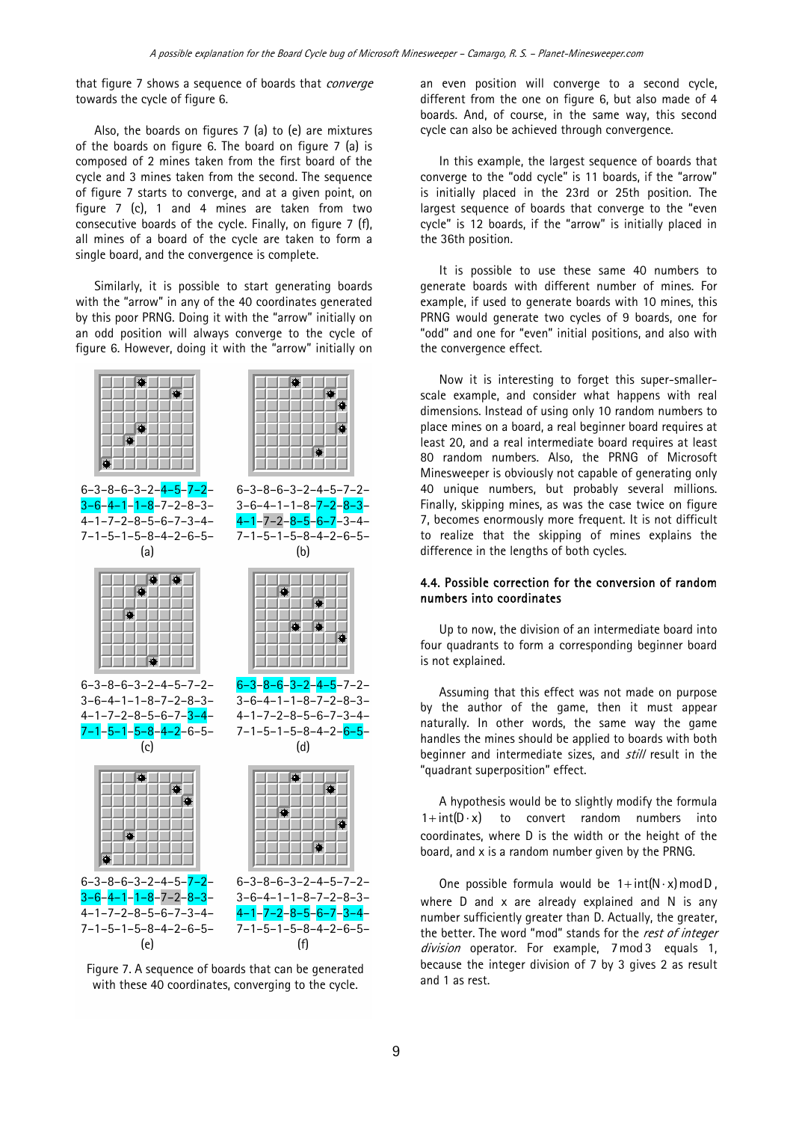that figure 7 shows a sequence of boards that *converge* towards the cycle of figure 6.

Also, the boards on figures 7 (a) to (e) are mixtures of the boards on figure 6. The board on figure 7 (a) is composed of 2 mines taken from the first board of the cycle and 3 mines taken from the second. The sequence of figure 7 starts to converge, and at a given point, on figure 7 (c), 1 and 4 mines are taken from two consecutive boards of the cycle. Finally, on figure 7 (f), all mines of a board of the cycle are taken to form a single board, and the convergence is complete.

Similarly, it is possible to start generating boards with the "arrow" in any of the 40 coordinates generated by this poor PRNG. Doing it with the "arrow" initially on an odd position will always converge to the cycle of figure 6. However, doing it with the "arrow" initially on



Figure 7. A sequence of boards that can be generated with these 40 coordinates, converging to the cycle.

an even position will converge to a second cycle, different from the one on figure 6, but also made of 4 boards. And, of course, in the same way, this second cycle can also be achieved through convergence.

In this example, the largest sequence of boards that converge to the "odd cycle" is 11 boards, if the "arrow" is initially placed in the 23rd or 25th position. The largest sequence of boards that converge to the "even cycle" is 12 boards, if the "arrow" is initially placed in the 36th position.

It is possible to use these same 40 numbers to generate boards with different number of mines. For example, if used to generate boards with 10 mines, this PRNG would generate two cycles of 9 boards, one for "odd" and one for "even" initial positions, and also with the convergence effect.

Now it is interesting to forget this super-smallerscale example, and consider what happens with real dimensions. Instead of using only 10 random numbers to place mines on a board, a real beginner board requires at least 20, and a real intermediate board requires at least 80 random numbers. Also, the PRNG of Microsoft Minesweeper is obviously not capable of generating only 40 unique numbers, but probably several millions. Finally, skipping mines, as was the case twice on figure 7, becomes enormously more frequent. It is not difficult to realize that the skipping of mines explains the difference in the lengths of both cycles.

#### 4.4. Possible correction for the conversion of random numbers into coordinates

Up to now, the division of an intermediate board into four quadrants to form a corresponding beginner board is not explained.

Assuming that this effect was not made on purpose by the author of the game, then it must appear naturally. In other words, the same way the game handles the mines should be applied to boards with both beginner and intermediate sizes, and *still* result in the "quadrant superposition" effect.

A hypothesis would be to slightly modify the formula  $1 + \text{int}(D \cdot x)$  to convert random numbers into coordinates, where D is the width or the height of the board, and x is a random number given by the PRNG.

One possible formula would be  $1 + \text{int}(N \cdot x) \text{mod } D$ . where D and x are already explained and N is any number sufficiently greater than D. Actually, the greater, the better. The word "mod" stands for the rest of integer division operator. For example, 7 mod 3 equals 1, because the integer division of 7 by 3 gives 2 as result and 1 as rest.